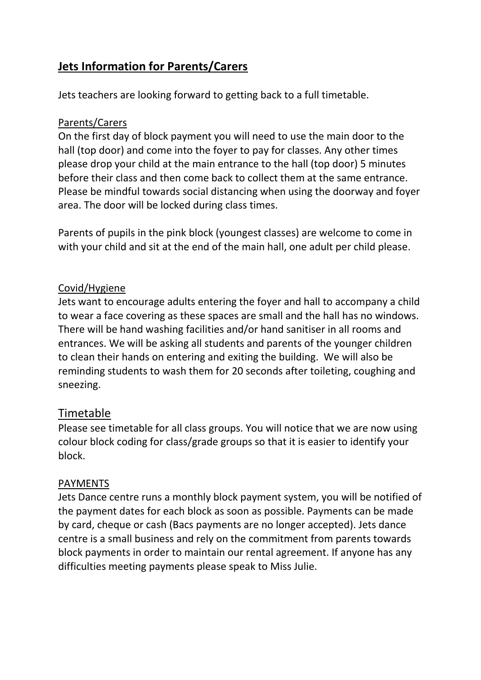# **Jets Information for Parents/Carers**

Jets teachers are looking forward to getting back to a full timetable.

### Parents/Carers

On the first day of block payment you will need to use the main door to the hall (top door) and come into the foyer to pay for classes. Any other times please drop your child at the main entrance to the hall (top door) 5 minutes before their class and then come back to collect them at the same entrance. Please be mindful towards social distancing when using the doorway and foyer area. The door will be locked during class times.

Parents of pupils in the pink block (youngest classes) are welcome to come in with your child and sit at the end of the main hall, one adult per child please.

### Covid/Hygiene

Jets want to encourage adults entering the foyer and hall to accompany a child to wear a face covering as these spaces are small and the hall has no windows. There will be hand washing facilities and/or hand sanitiser in all rooms and entrances. We will be asking all students and parents of the younger children to clean their hands on entering and exiting the building. We will also be reminding students to wash them for 20 seconds after toileting, coughing and sneezing.

## Timetable

Please see timetable for all class groups. You will notice that we are now using colour block coding for class/grade groups so that it is easier to identify your block.

### PAYMENTS

Jets Dance centre runs a monthly block payment system, you will be notified of the payment dates for each block as soon as possible. Payments can be made by card, cheque or cash (Bacs payments are no longer accepted). Jets dance centre is a small business and rely on the commitment from parents towards block payments in order to maintain our rental agreement. If anyone has any difficulties meeting payments please speak to Miss Julie.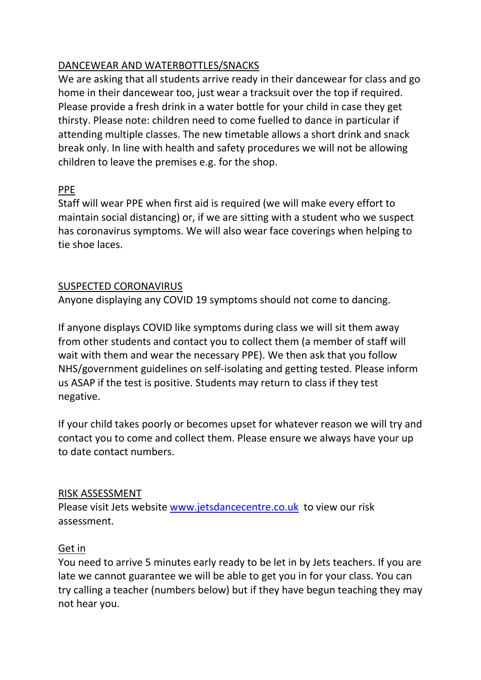## DANCEWEAR AND WATERBOTTLES/SNACKS

We are asking that all students arrive ready in their dancewear for class and go home in their dancewear too, just wear a tracksuit over the top if required. Please provide a fresh drink in a water bottle for your child in case they get thirsty. Please note: children need to come fuelled to dance in particular if attending multiple classes. The new timetable allows a short drink and snack break only. In line with health and safety procedures we will not be allowing children to leave the premises e.g. for the shop.

### PPE

Staff will wear PPE when first aid is required (we will make every effort to maintain social distancing) or, if we are sitting with a student who we suspect has coronavirus symptoms. We will also wear face coverings when helping to tie shoe laces.

#### SUSPECTED CORONAVIRUS

Anyone displaying any COVID 19 symptoms should not come to dancing.

If anyone displays COVID like symptoms during class we will sit them away from other students and contact you to collect them (a member of staff will wait with them and wear the necessary PPE). We then ask that you follow NHS/government guidelines on self-isolating and getting tested. Please inform us ASAP if the test is positive. Students may return to class if they test negative.

If your child takes poorly or becomes upset for whatever reason we will try and contact you to come and collect them. Please ensure we always have your up to date contact numbers.

### RISK ASSESSMENT

Please visit Jets website [www.jetsdancecentre.co.uk](http://www.jetsdancecentre.co.uk/) to view our risk assessment.

### Get in

You need to arrive 5 minutes early ready to be let in by Jets teachers. If you are late we cannot guarantee we will be able to get you in for your class. You can try calling a teacher (numbers below) but if they have begun teaching they may not hear you.